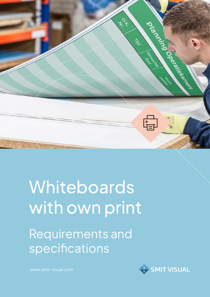

# Whiteboards with own print

Requirements and specifications



www.smit-visual.com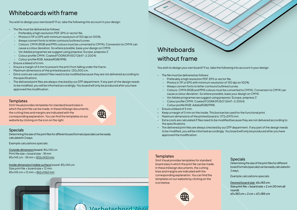### **Whiteboards** without frame

Wie

Determining the size of the print files for different board formats (specials) can be easily calculated in 2 ways.

Example calculations specials:

Outside dimension board: 85x145 cm Print file size = board size - 18 mm 85x145 cm - 18 mm = 832x1432 mm

Inside dimension/visible surface board: 85x145 cm Size print file = board size + 12 mm 85x145 cm + 12 mm = 862x1462 mm

### Whiteboards with frame

You wish to design your own board? If so, take the following into account in your design:

– Colours: CMYK (RGB and PMS colours must be converted to CMYK). Conversion to CMYK can

Desired board size: 65x183 cm Size print file = board size + 2 cm (10 mm all round)  $65 \times 183$  cm + 2 cm =  $67 \times 185$  cm

- The file must be delivered as follows:
	- Preferably a high resolution PDF, EPS or vector file.
	- Photos in TIF or EPS with minimum resolution of 150 dpi on 100%.
	- Always convert fonts to letter contours/outlines/curves.
	- cause a colour deviation. So where possible, base your design on CMYK.
	- Vor Adobe programes we suggest using prepress 'Europe, prepress 3'
	- Colour profile CMYK: Coated FOGRA39 (ISO 12647-2:2004) – Colour profile RGB: AdobeRGB(1998)
- Ensure a bleed of 5 mm.
- Keep a margin of 5 mm on the inside. This box kan be used for the functional print.
- Maximum dimensions of the printed board is: 1172x2975 mm.
- the specifications.
- The delivered print files are always checked by our DTP department. If any part of the design needs to be modified, you will be informed accordingly. You board will only be produced after you have approved the modification.

### **Templates**

• Extra costs are calculated if files need to be modified because they are not delivered according to

- The file must be delivered as follows:
	- Preferably a high resolution PDF, EPS or vector file.
	- Photos in TIF or EPS with minimum resolution of 150 dpi on 100%.
	- Always convert fonts to letter contours/outlines/curves.
	- Colours: CMYK (RGB and PMS colours must be converted to CMYK). Conversion to CMYK can cause a colour deviation. So where possible, base your design on CMYK.
	- Vor Adobe programes we suggest using prepress 'Europe, prepress 3'
	- Colour profile CMYK: Coated FOGRA39 (ISO 12647-2:2004)
	- Colour profile RGB: AdobeRGB(1998)
- Ensure a bleed of 6 mm.
- Ensure a margin of 6 mm to prevent the print from falling under the frame.
- Maximum dimensions of the printed board is: 120x300 cm.
- Extra costs are calculated if files need to be modified because they are not delivered according to the specifications.
- The delivered print files are always checked by our DTP department. If any part of the design needs to be modified, you will be informed accordingly. You board will only be produced after you have approved the modification.

### **Templates**

Smit Visual provides templates for standard board sizes in which the print file can be made. In these InDesign documents, the cutting lines and margins are indicated with the corresponding explanation. You can find the templates on our website by clicking on the icon below.





#### Specials

Determining the size of the print files for different board formats (specials) can be easily calculated in 2 ways.

Example calculations specials:

You wish to design your own board? If so, take the following into account in your design:

Smit Visual provides templates for standard board sizes in which the print file can be made. In these InDesign documents, the cutting lines and margins are indicated with the corresponding explanation. You can find the templates on our website by clicking on the icon on the right.

| (我) |
|-----|
|     |
|     |

**Nerheterhord** Zorg

### **Specials**